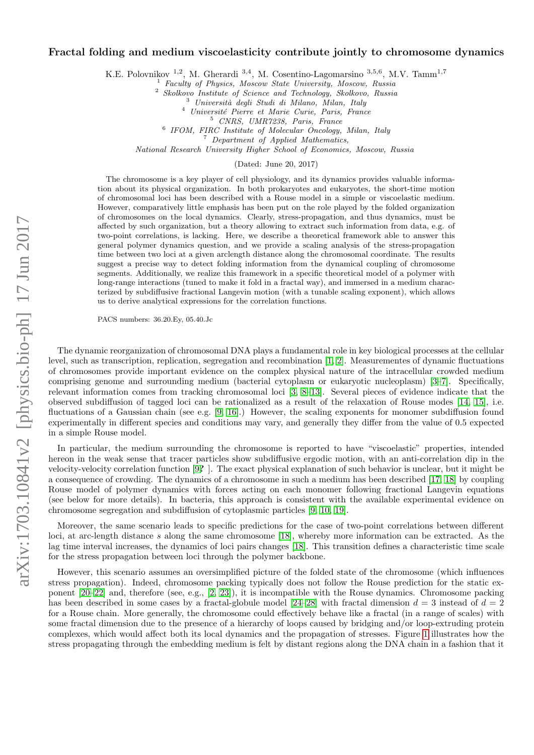# $arXiv:1703.10841v2$  [physics.bio-ph] 17 Jun 2017 arXiv:1703.10841v2 [physics.bio-ph] 17 Jun 2017

# Fractal folding and medium viscoelasticity contribute jointly to chromosome dynamics

K.E. Polovnikov<sup>1,2</sup>, M. Gherardi<sup>3,4</sup>, M. Cosentino-Lagomarsino<sup>3,5,6</sup>, M.V. Tamm<sup>1,7</sup>

<sup>1</sup> Faculty of Physics, Moscow State University, Moscow, Russia

<sup>2</sup> Skolkovo Institute of Science and Technology, Skolkovo, Russia

<sup>3</sup> Universit`a degli Studi di Milano, Milan, Italy

<sup>4</sup> Université Pierre et Marie Curie, Paris, France

<sup>5</sup> CNRS, UMR7238, Paris, France

6 IFOM, FIRC Institute of Molecular Oncology, Milan, Italy

 $\overline{P}$  Department of Applied Mathematics,

National Research University Higher School of Economics, Moscow, Russia

(Dated: June 20, 2017)

The chromosome is a key player of cell physiology, and its dynamics provides valuable information about its physical organization. In both prokaryotes and eukaryotes, the short-time motion of chromosomal loci has been described with a Rouse model in a simple or viscoelastic medium. However, comparatively little emphasis has been put on the role played by the folded organization of chromosomes on the local dynamics. Clearly, stress-propagation, and thus dynamics, must be affected by such organization, but a theory allowing to extract such information from data, e.g. of two-point correlations, is lacking. Here, we describe a theoretical framework able to answer this general polymer dynamics question, and we provide a scaling analysis of the stress-propagation time between two loci at a given arclength distance along the chromosomal coordinate. The results suggest a precise way to detect folding information from the dynamical coupling of chromosome segments. Additionally, we realize this framework in a specific theoretical model of a polymer with long-range interactions (tuned to make it fold in a fractal way), and immersed in a medium characterized by subdiffusive fractional Langevin motion (with a tunable scaling exponent), which allows us to derive analytical expressions for the correlation functions.

PACS numbers: 36.20.Ey, 05.40.Jc

The dynamic reorganization of chromosomal DNA plays a fundamental role in key biological processes at the cellular level, such as transcription, replication, segregation and recombination [\[1,](#page-12-0) [2\]](#page-12-1). Measurementes of dynamic fluctuations of chromosomes provide important evidence on the complex physical nature of the intracellular crowded medium comprising genome and surrounding medium (bacterial cytoplasm or eukaryotic nucleoplasm) [\[3](#page-12-2)[–7\]](#page-13-0). Specifically, relevant information comes from tracking chromosomal loci [\[3,](#page-12-2) [8–](#page-13-1)[13\]](#page-13-2). Several pieces of evidence indicate that the observed subdiffusion of tagged loci can be rationalized as a result of the relaxation of Rouse modes [\[14,](#page-13-3) [15\]](#page-13-4), i.e. fluctuations of a Gaussian chain (see e.g. [\[9,](#page-13-5) [16\]](#page-13-6).) However, the scaling exponents for monomer subdiffusion found experimentally in different species and conditions may vary, and generally they differ from the value of 0.5 expected in a simple Rouse model.

In particular, the medium surrounding the chromosome is reported to have "viscoelastic" properties, intended hereon in the weak sense that tracer particles show subdiffusive ergodic motion, with an anti-correlation dip in the velocity-velocity correlation function [\[9](#page-13-5)? ]. The exact physical explanation of such behavior is unclear, but it might be a consequence of crowding. The dynamics of a chromosome in such a medium has been described [\[17,](#page-13-7) [18\]](#page-13-8) by coupling Rouse model of polymer dynamics with forces acting on each monomer following fractional Langevin equations (see below for more details). In bacteria, this approach is consistent with the available experimental evidence on chromosome segregation and subdiffusion of cytoplasmic particles [\[9,](#page-13-5) [10,](#page-13-9) [19\]](#page-13-10).

Moreover, the same scenario leads to specific predictions for the case of two-point correlations between different loci, at arc-length distance s along the same chromosome [\[18\]](#page-13-8), whereby more information can be extracted. As the lag time interval increases, the dynamics of loci pairs changes [\[18\]](#page-13-8). This transition defines a characteristic time scale for the stress propagation between loci through the polymer backbone.

However, this scenario assumes an oversimplified picture of the folded state of the chromosome (which influences stress propagation). Indeed, chromosome packing typically does not follow the Rouse prediction for the static exponent [\[20](#page-13-11)[–22\]](#page-13-12) and, therefore (see, e.g., [\[2,](#page-12-1) [23\]](#page-13-13)), it is incompatible with the Rouse dynamics. Chromosome packing has been described in some cases by a fractal-globule model [\[24–](#page-13-14)[28\]](#page-13-15) with fractal dimension  $d = 3$  instead of  $d = 2$ for a Rouse chain. More generally, the chromosome could effectively behave like a fractal (in a range of scales) with some fractal dimension due to the presence of a hierarchy of loops caused by bridging and/or loop-extruding protein complexes, which would affect both its local dynamics and the propagation of stresses. Figure [1](#page-1-0) illustrates how the stress propagating through the embedding medium is felt by distant regions along the DNA chain in a fashion that it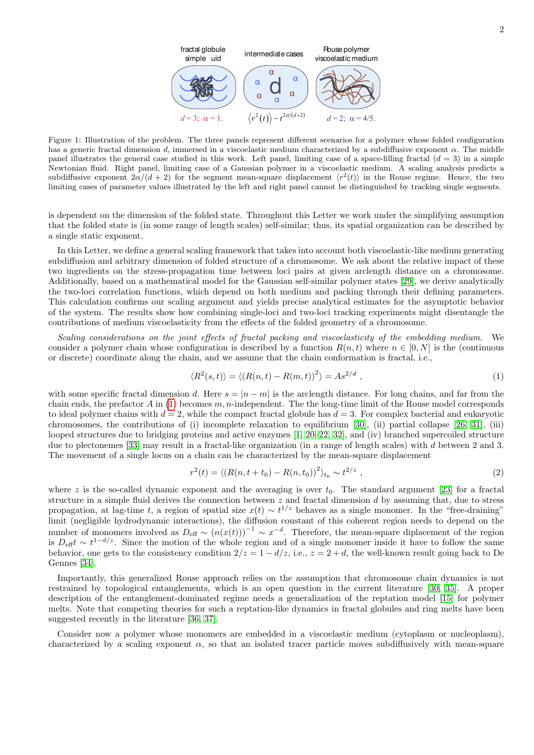

<span id="page-1-0"></span>Figure 1: Illustration of the problem. The three panels represent different scenarios for a polymer whose folded configuration has a generic fractal dimension d, immersed in a viscoelastic medium characterized by a subdiffusive exponent  $\alpha$ . The middle panel illustrates the general case studied in this work. Left panel, limiting case of a space-filling fractal  $(d = 3)$  in a simple Newtonian fluid. Right panel, limiting case of a Gaussian polymer in a viscoelastic medium. A scaling analysis predicts a subdiffusive exponent  $2\alpha/(d+2)$  for the segment mean-square displacement  $\langle r^2(t) \rangle$  in the Rouse regime. Hence, the two limiting cases of parameter values illustrated by the left and right panel cannot be distinguished by tracking single segments.

is dependent on the dimension of the folded state. Throughout this Letter we work under the simplifying assumption that the folded state is (in some range of length scales) self-similar; thus, its spatial organization can be described by a single static exponent.

In this Letter, we define a general scaling framework that takes into account both viscoelastic-like medium generating subdiffusion and arbitrary dimension of folded structure of a chromosome. We ask about the relative impact of these two ingredients on the stress-propagation time between loci pairs at given arclength distance on a chromosome. Additionally, based on a mathematical model for the Gaussian self-similar polymer states [\[29\]](#page-13-16), we derive analytically the two-loci correlation functions, which depend on both medium and packing through their defining parameters. This calculation confirms our scaling argument and yields precise analytical estimates for the asymptotic behavior of the system. The results show how combining single-loci and two-loci tracking experiments might disentangle the contributions of medium viscoelasticity from the effects of the folded geometry of a chromosome.

Scaling considerations on the joint effects of fractal packing and viscoelasticity of the embedding medium. We consider a polymer chain whose configuration is described by a function  $R(n,t)$  where  $n \in [0,N]$  is the (continuous or discrete) coordinate along the chain, and we assume that the chain conformation is fractal, i.e.,

<span id="page-1-1"></span>
$$
\langle R^2(s,t) \rangle = \langle (R(n,t) - R(m,t))^2 \rangle = As^{2/d} \tag{1}
$$

with some specific fractal dimension d. Here  $s = |n - m|$  is the arclength distance. For long chains, and far from the chain ends, the prefactor A in [\(1\)](#page-1-1) becomes  $m, n$ -independent. The the long-time limit of the Rouse model corresponds to ideal polymer chains with  $d = 2$ , while the compact fractal globule has  $d = 3$ . For complex bacterial and eukaryotic chromosomes, the contributions of (i) incomplete relaxation to equilibrium [\[30\]](#page-13-17), (ii) partial collapse [\[26,](#page-13-18) [31\]](#page-13-19), (iii) looped structures due to bridging proteins and active enzymes [\[1,](#page-12-0) [20–](#page-13-11)[22,](#page-13-12) [32\]](#page-13-20), and (iv) branched supercoiled structure due to plectonemes [\[33\]](#page-13-21) may result in a fractal-like organization (in a range of length scales) with d between 2 and 3. The movement of a single locus on a chain can be characterized by the mean-square displacement

$$
r^{2}(t) = \langle (R(n, t + t_{0}) - R(n, t_{0}))^{2} \rangle_{t_{0}} \sim t^{2/z} , \qquad (2)
$$

where z is the so-called dynamic exponent and the averaging is over  $t_0$ . The standard argument [\[23\]](#page-13-13) for a fractal structure in a simple fluid derives the connection between  $z$  and fractal dimension  $d$  by assuming that, due to stress propagation, at lag-time t, a region of spatial size  $x(t) \sim t^{1/z}$  behaves as a single monomer. In the "free-draining" limit (negligible hydrodynamic interactions), the diffusion constant of this coherent region needs to depend on the number of monomers involved as  $D_{\text{eff}} \sim (n(x(t)))^{-1} \sim x^{-d}$ . Therefore, the mean-square diplacement of the region is  $D_{\text{eff}}t \sim t^{1-d/z}$ . Since the motion of the whole region and of a single monomer inside it have to follow the same behavior, one gets to the consistency condition  $2/z = 1 - d/z$ , i.e.,  $z = 2 + d$ , the well-known result going back to De Gennes [\[34\]](#page-13-22).

Importantly, this generalized Rouse approach relies on the assumption that chromosome chain dynamics is not restrained by topological entanglements, which is an open question in the current literature [\[30,](#page-13-17) [35\]](#page-13-23). A proper description of the entanglement-dominated regime needs a generalization of the reptation model [\[15\]](#page-13-4) for polymer melts. Note that competing theories for such a reptation-like dynamics in fractal globules and ring melts have been suggested recently in the literature [\[36,](#page-13-24) [37\]](#page-13-25).

Consider now a polymer whose monomers are embedded in a viscoelastic medium (cytoplasm or nucleoplasm), characterized by a scaling exponent  $\alpha$ , so that an isolated tracer particle moves subdiffusively with mean-square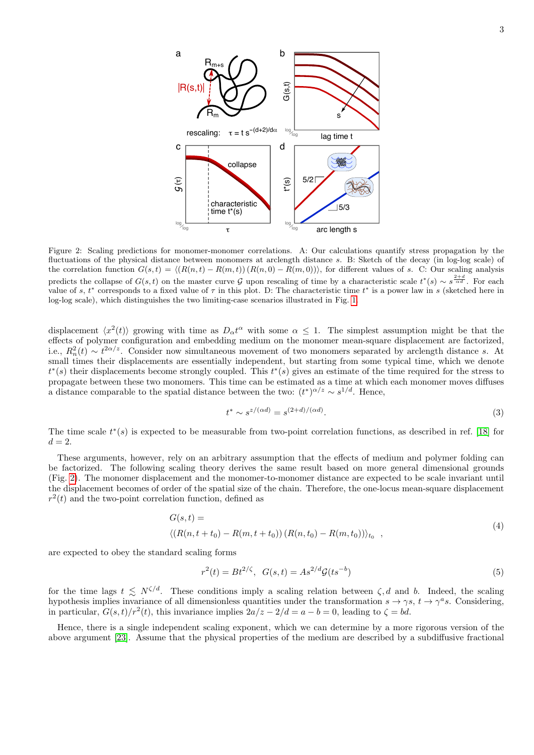

<span id="page-2-0"></span>Figure 2: Scaling predictions for monomer-monomer correlations. A: Our calculations quantify stress propagation by the fluctuations of the physical distance between monomers at arclength distance s. B: Sketch of the decay (in log-log scale) of the correlation function  $G(s, t) = \langle (R(n, t) - R(m, t)) (R(n, 0) - R(m, 0)) \rangle$ , for different values of s. C: Our scaling analysis predicts the collapse of  $G(s,t)$  on the master curve G upon rescaling of time by a characteristic scale  $t^*(s) \sim s^{\frac{2+d}{\alpha d}}$ . For each value of s,  $t^*$  corresponds to a fixed value of  $\tau$  in this plot. D: The characteristic time  $t^*$  is a power law in s (sketched here in log-log scale), which distinguishes the two limiting-case scenarios illustrated in Fig. [1.](#page-1-0)

displacement  $\langle x^2(t) \rangle$  growing with time as  $D_\alpha t^\alpha$  with some  $\alpha \leq 1$ . The simplest assumption might be that the effects of polymer configuration and embedding medium on the monomer mean-square displacement are factorized, i.e.,  $R_n^2(t) \sim t^{2\alpha/z}$ . Consider now simultaneous movement of two monomers separated by arclength distance s. At small times their displacements are essentially independent, but starting from some typical time, which we denote  $t^*(s)$  their displacements become strongly coupled. This  $t^*(s)$  gives an estimate of the time required for the stress to propagate between these two monomers. This time can be estimated as a time at which each monomer moves diffuses a distance comparable to the spatial distance between the two:  $(t^*)^{\alpha/z} \sim s^{1/d}$ . Hence,

<span id="page-2-2"></span>
$$
t^* \sim s^{z/(\alpha d)} = s^{(2+d)/(\alpha d)}.\tag{3}
$$

The time scale  $t^*(s)$  is expected to be measurable from two-point correlation functions, as described in ref. [\[18\]](#page-13-8) for  $d=2$ .

These arguments, however, rely on an arbitrary assumption that the effects of medium and polymer folding can be factorized. The following scaling theory derives the same result based on more general dimensional grounds (Fig. [2\)](#page-2-0). The monomer displacement and the monomer-to-monomer distance are expected to be scale invariant until the displacement becomes of order of the spatial size of the chain. Therefore, the one-locus mean-square displacement  $r^2(t)$  and the two-point correlation function, defined as

$$
G(s,t) =
$$
  
\n
$$
\langle (R(n,t+t_0) - R(m,t+t_0)) (R(n,t_0) - R(m,t_0)) \rangle_{t_0},
$$
\n(4)

are expected to obey the standard scaling forms

<span id="page-2-1"></span>
$$
r^{2}(t) = Bt^{2/\zeta}, \ \ G(s,t) = As^{2/d}\mathcal{G}(ts^{-b})
$$
\n<sup>(5)</sup>

for the time lags  $t \leq N^{\zeta/d}$ . These conditions imply a scaling relation between  $\zeta, d$  and b. Indeed, the scaling hypothesis implies invariance of all dimensionless quantities under the transformation  $s \to \gamma s$ ,  $t \to \gamma^a s$ . Considering, in particular,  $G(s,t)/r^2(t)$ , this invariance implies  $2a/z - 2/d = a - b = 0$ , leading to  $\zeta = bd$ .

Hence, there is a single independent scaling exponent, which we can determine by a more rigorous version of the above argument [\[23\]](#page-13-13). Assume that the physical properties of the medium are described by a subdiffusive fractional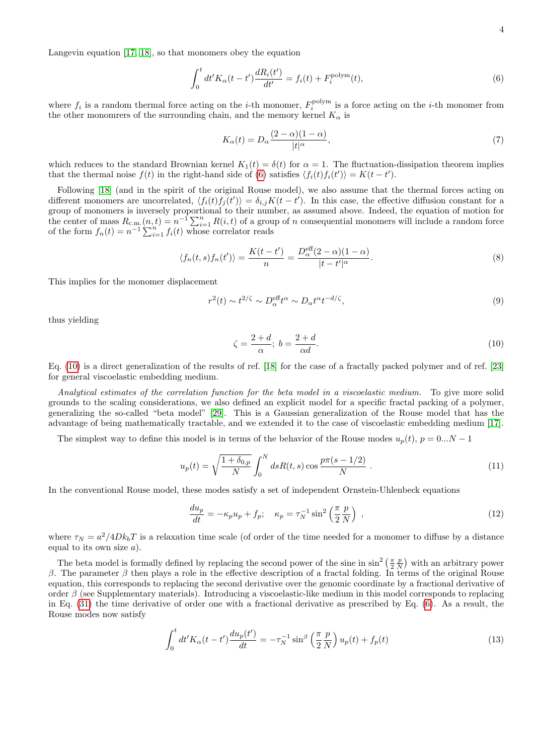Langevin equation [\[17,](#page-13-7) [18\]](#page-13-8), so that monomers obey the equation

<span id="page-3-0"></span>
$$
\int_0^t dt' K_\alpha(t - t') \frac{dR_i(t')}{dt'} = f_i(t) + F_i^{\text{polym}}(t),\tag{6}
$$

where  $f_i$  is a random thermal force acting on the *i*-th monomer,  $F_i^{\text{polym}}$  is a force acting on the *i*-th monomer from the other monomrers of the surrounding chain, and the memory kernel  $K_{\alpha}$  is

<span id="page-3-2"></span>
$$
K_{\alpha}(t) = D_{\alpha} \frac{(2-\alpha)(1-\alpha)}{|t|^{\alpha}},\tag{7}
$$

which reduces to the standard Brownian kernel  $K_1(t) = \delta(t)$  for  $\alpha = 1$ . The fluctuation-dissipation theorem implies that the thermal noise  $f(t)$  in the right-hand side of [\(6\)](#page-3-0) satisfies  $\langle f_i(t) f_i(t') \rangle = K(t - t')$ .

Following [\[18\]](#page-13-8) (and in the spirit of the original Rouse model), we also assume that the thermal forces acting on different monomers are uncorrelated,  $\langle f_i(t) f_j(t') \rangle = \delta_{i,j} K(t-t')$ . In this case, the effective diffusion constant for a group of monomers is inversely proportional to their number, as assumed above. Indeed, the equation of motion for the center of mass  $R_{c.m.}(n, t) = n^{-1} \sum_{i=1}^{n} R(i, t)$  of a group of n consequential monomers will include a random force of the form  $f_n(t) = n^{-1} \sum_{i=1}^n f_i(t)$  whose correlator reads

$$
\langle f_n(t,s)f_n(t')\rangle = \frac{K(t-t')}{n} = \frac{D_\alpha^{\text{eff}}(2-\alpha)(1-\alpha)}{|t-t'|^\alpha}.
$$
\n(8)

This implies for the monomer displacement

$$
r^{2}(t) \sim t^{2/\zeta} \sim D_{\alpha}^{\text{eff}}t^{\alpha} \sim D_{\alpha}t^{\alpha}t^{-d/\zeta},\tag{9}
$$

thus yielding

<span id="page-3-1"></span>
$$
\zeta = \frac{2+d}{\alpha}; \ b = \frac{2+d}{\alpha d}.\tag{10}
$$

Eq. [\(10\)](#page-3-1) is a direct generalization of the results of ref. [\[18\]](#page-13-8) for the case of a fractally packed polymer and of ref. [\[23\]](#page-13-13) for general viscoelastic embedding medium.

Analytical estimates of the correlation function for the beta model in a viscoelastic medium. To give more solid grounds to the scaling considerations, we also defined an explicit model for a specific fractal packing of a polymer, generalizing the so-called "beta model" [\[29\]](#page-13-16). This is a Gaussian generalization of the Rouse model that has the advantage of being mathematically tractable, and we extended it to the case of viscoelastic embedding medium [\[17\]](#page-13-7).

The simplest way to define this model is in terms of the behavior of the Rouse modes  $u_p(t)$ ,  $p = 0...N - 1$ 

$$
u_p(t) = \sqrt{\frac{1 + \delta_{0,p}}{N}} \int_0^N ds R(t, s) \cos \frac{p\pi (s - 1/2)}{N} . \tag{11}
$$

In the conventional Rouse model, these modes satisfy a set of independent Ornstein-Uhlenbeck equations

$$
\frac{du_p}{dt} = -\kappa_p u_p + f_p; \quad \kappa_p = \tau_N^{-1} \sin^2\left(\frac{\pi}{2} \frac{p}{N}\right) \;, \tag{12}
$$

where  $\tau_N = a^2/4Dk_bT$  is a relaxation time scale (of order of the time needed for a monomer to diffuse by a distance equal to its own size  $a$ ).

The beta model is formally defined by replacing the second power of the sine in  $\sin^2\left(\frac{\pi}{2}\frac{p}{N}\right)$  with an arbitrary power β. The parameter β then plays a role in the effective description of a fractal folding. In terms of the original Rouse equation, this corresponds to replacing the second derivative over the genomic coordinate by a fractional derivative of order  $\beta$  (see Supplementary materials). Introducing a viscoelastic-like medium in this model corresponds to replacing in Eq. [\(31\)](#page-6-0) the time derivative of order one with a fractional derivative as prescribed by Eq. [\(6\)](#page-3-0). As a result, the Rouse modes now satisfy

<span id="page-3-3"></span>
$$
\int_0^t dt' K_\alpha(t - t') \frac{du_p(t')}{dt} = -\tau_N^{-1} \sin^\beta \left(\frac{\pi}{2} \frac{p}{N}\right) u_p(t) + f_p(t) \tag{13}
$$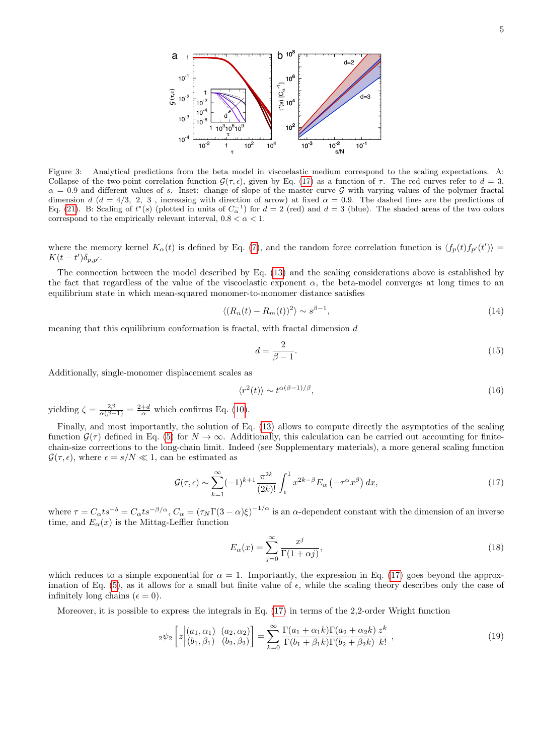

Figure 3: Analytical predictions from the beta model in viscoelastic medium correspond to the scaling expectations. A: Collapse of the two-point correlation function  $\mathcal{G}(\tau, \epsilon)$ , given by Eq. [\(17\)](#page-4-0) as a function of  $\tau$ . The red curves refer to  $d = 3$ .  $\alpha = 0.9$  and different values of s. Inset: change of slope of the master curve G with varying values of the polymer fractal dimension d (d = 4/3, 2, 3, increasing with direction of arrow) at fixed  $\alpha = 0.9$ . The dashed lines are the predictions of Eq. [\(21\)](#page-5-0). B: Scaling of  $t^*(s)$  (plotted in units of  $C_{\alpha}^{-1}$ ) for  $d=2$  (red) and  $d=3$  (blue). The shaded areas of the two colors correspond to the empirically relevant interval,  $0.8 < \alpha < 1$ .

where the memory kernel  $K_{\alpha}(t)$  is defined by Eq. [\(7\)](#page-3-2), and the random force correlation function is  $\langle f_p(t) f_{p'}(t') \rangle$  $K(t-t')\delta_{p,p'}$ .

The connection between the model described by Eq. [\(13\)](#page-3-3) and the scaling considerations above is established by the fact that regardless of the value of the viscoelastic exponent  $\alpha$ , the beta-model converges at long times to an equilibrium state in which mean-squared monomer-to-monomer distance satisfies

$$
\langle (R_n(t) - R_m(t))^2 \rangle \sim s^{\beta - 1},\tag{14}
$$

meaning that this equilibrium conformation is fractal, with fractal dimension  $d$ 

$$
d = \frac{2}{\beta - 1}.\tag{15}
$$

Additionally, single-monomer displacement scales as

$$
\langle r^2(t) \rangle \sim t^{\alpha(\beta - 1)/\beta},\tag{16}
$$

yielding  $\zeta = \frac{2\beta}{\alpha(\beta - 1)} = \frac{2+d}{\alpha}$  which confirms Eq. [\(10\)](#page-3-1).

Finally, and most importantly, the solution of Eq. [\(13\)](#page-3-3) allows to compute directly the asymptotics of the scaling function  $\mathcal{G}(\tau)$  defined in Eq. [\(5\)](#page-2-1) for  $N \to \infty$ . Additionally, this calculation can be carried out accounting for finitechain-size corrections to the long-chain limit. Indeed (see Supplementary materials), a more general scaling function  $\mathcal{G}(\tau, \epsilon)$ , where  $\epsilon = s/N \ll 1$ , can be estimated as

<span id="page-4-0"></span>
$$
\mathcal{G}(\tau,\epsilon) \sim \sum_{k=1}^{\infty} (-1)^{k+1} \frac{\pi^{2k}}{(2k)!} \int_{\epsilon}^{1} x^{2k-\beta} E_{\alpha}(-\tau^{\alpha} x^{\beta}) dx,
$$
\n(17)

where  $\tau = C_{\alpha} t s^{-b} = C_{\alpha} t s^{-\beta/\alpha}$ ,  $C_{\alpha} = (\tau_N \Gamma(3-\alpha)\xi)^{-1/\alpha}$  is an  $\alpha$ -dependent constant with the dimension of an inverse time, and  $E_{\alpha}(x)$  is the Mittag-Leffler function

$$
E_{\alpha}(x) = \sum_{j=0}^{\infty} \frac{x^j}{\Gamma(1+\alpha j)},
$$
\n(18)

which reduces to a simple exponential for  $\alpha = 1$ . Importantly, the expression in Eq. [\(17\)](#page-4-0) goes beyond the approx-imation of Eq. [\(5\)](#page-2-1), as it allows for a small but finite value of  $\epsilon$ , while the scaling theory describes only the case of infinitely long chains ( $\epsilon = 0$ ).

Moreover, it is possible to express the integrals in Eq.  $(17)$  in terms of the 2,2-order Wright function

$$
{}_{2}\psi_{2}\left[z\left| (a_{1},\alpha_{1}) \ (a_{2},\alpha_{2}) \atop (b_{1},\beta_{1}) \ (b_{2},\beta_{2}) \right] = \sum_{k=0}^{\infty} \frac{\Gamma(a_{1}+\alpha_{1}k)\Gamma(a_{2}+\alpha_{2}k)}{\Gamma(b_{1}+\beta_{1}k)\Gamma(b_{2}+\beta_{2}k)}\frac{z^{k}}{k!},\tag{19}
$$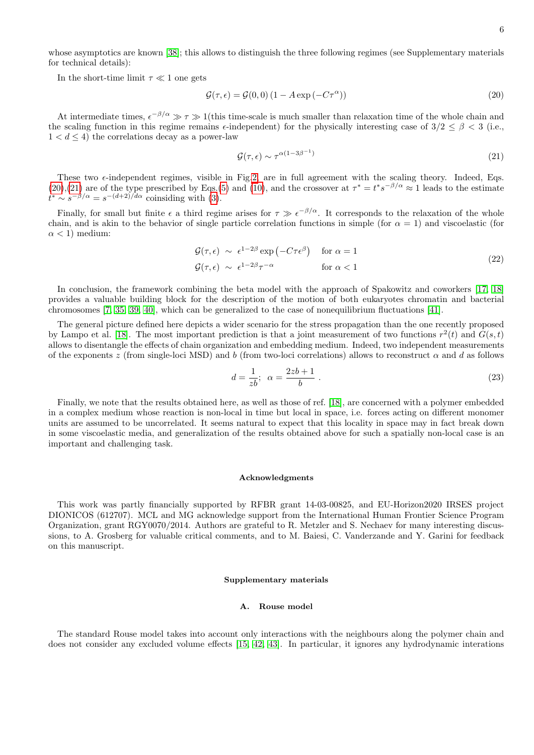whose asymptotics are known [\[38\]](#page-13-26); this allows to distinguish the three following regimes (see Supplementary materials for technical details):

In the short-time limit  $\tau \ll 1$  one gets

<span id="page-5-1"></span>
$$
\mathcal{G}(\tau,\epsilon) = \mathcal{G}(0,0) \left(1 - A \exp\left(-C\tau^{\alpha}\right)\right) \tag{20}
$$

At intermediate times,  $\epsilon^{-\beta/\alpha} \gg \tau \gg 1$  (this time-scale is much smaller than relaxation time of the whole chain and the scaling function in this regime remains  $\epsilon$ -independent) for the physically interesting case of  $3/2 \leq \beta < 3$  (i.e.,  $1 < d \leq 4$ ) the correlations decay as a power-law

<span id="page-5-0"></span>
$$
\mathcal{G}(\tau,\epsilon) \sim \tau^{\alpha(1-3\beta^{-1})} \tag{21}
$$

These two  $\epsilon$ -independent regimes, visible in Fig[.2,](#page-2-0) are in full agreement with the scaling theory. Indeed, Eqs.  $(20),(21)$  $(20),(21)$  $(20),(21)$  are of the type prescribed by Eqs.[\(5\)](#page-2-1) and [\(10\)](#page-3-1), and the crossover at  $\tau^* = t^* s^{-\beta/\alpha} \approx 1$  leads to the estimate  $t^* \sim s^{-\beta/\alpha} = s^{-(d+2)/d\alpha}$  coinsiding with [\(3\)](#page-2-2).

Finally, for small but finite  $\epsilon$  a third regime arises for  $\tau \gg \epsilon^{-\beta/\alpha}$ . It corresponds to the relaxation of the whole chain, and is akin to the behavior of single particle correlation functions in simple (for  $\alpha = 1$ ) and viscoelastic (for  $\alpha$  < 1) medium:

$$
\mathcal{G}(\tau,\epsilon) \sim \epsilon^{1-2\beta} \exp\left(-C\tau\epsilon^{\beta}\right) \quad \text{for } \alpha = 1
$$
\n
$$
\mathcal{G}(\tau,\epsilon) \sim \epsilon^{1-2\beta}\tau^{-\alpha} \qquad \text{for } \alpha < 1
$$
\n(22)

In conclusion, the framework combining the beta model with the approach of Spakowitz and coworkers [\[17,](#page-13-7) [18\]](#page-13-8) provides a valuable building block for the description of the motion of both eukaryotes chromatin and bacterial chromosomes [\[7,](#page-13-0) [35,](#page-13-23) [39,](#page-13-27) [40\]](#page-13-28), which can be generalized to the case of nonequilibrium fluctuations [\[41\]](#page-13-29).

The general picture defined here depicts a wider scenario for the stress propagation than the one recently proposed by Lampo et al. [\[18\]](#page-13-8). The most important prediction is that a joint measurement of two functions  $r^2(t)$  and  $G(s,t)$ allows to disentangle the effects of chain organization and embedding medium. Indeed, two independent measurements of the exponents z (from single-loci MSD) and b (from two-loci correlations) allows to reconstruct  $\alpha$  and d as follows

$$
d = \frac{1}{zb}; \ \alpha = \frac{2zb+1}{b} \ . \tag{23}
$$

Finally, we note that the results obtained here, as well as those of ref. [\[18\]](#page-13-8), are concerned with a polymer embedded in a complex medium whose reaction is non-local in time but local in space, i.e. forces acting on different monomer units are assumed to be uncorrelated. It seems natural to expect that this locality in space may in fact break down in some viscoelastic media, and generalization of the results obtained above for such a spatially non-local case is an important and challenging task.

### Acknowledgments

This work was partly financially supported by RFBR grant 14-03-00825, and EU-Horizon2020 IRSES project DIONICOS (612707). MCL and MG acknowledge support from the International Human Frontier Science Program Organization, grant RGY0070/2014. Authors are grateful to R. Metzler and S. Nechaev for many interesting discussions, to A. Grosberg for valuable critical comments, and to M. Baiesi, C. Vanderzande and Y. Garini for feedback on this manuscript.

### Supplementary materials

# A. Rouse model

The standard Rouse model takes into account only interactions with the neighbours along the polymer chain and does not consider any excluded volume effects [\[15,](#page-13-4) [42,](#page-13-30) [43\]](#page-13-31). In particular, it ignores any hydrodynamic interations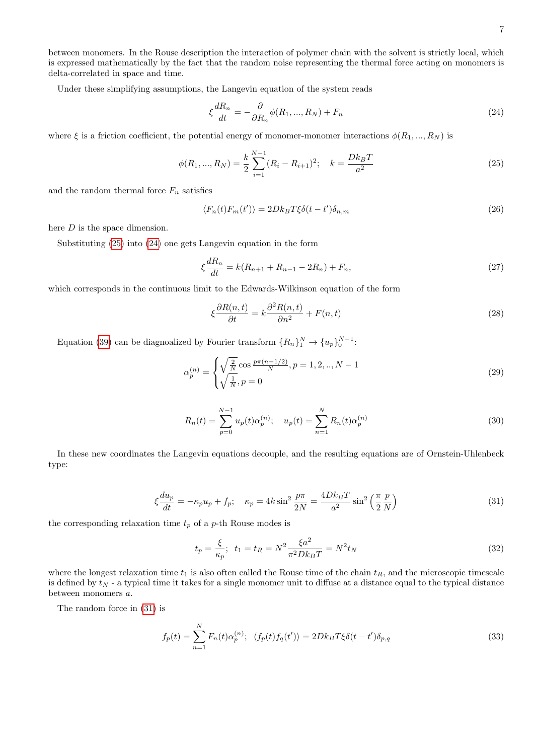between monomers. In the Rouse description the interaction of polymer chain with the solvent is strictly local, which is expressed mathematically by the fact that the random noise representing the thermal force acting on monomers is delta-correlated in space and time.

Under these simplifying assumptions, the Langevin equation of the system reads

<span id="page-6-2"></span>
$$
\xi \frac{dR_n}{dt} = -\frac{\partial}{\partial R_n} \phi(R_1, ..., R_N) + F_n \tag{24}
$$

where  $\xi$  is a friction coefficient, the potential energy of monomer-monomer interactions  $\phi(R_1, ..., R_N)$  is

<span id="page-6-1"></span>
$$
\phi(R_1, ..., R_N) = \frac{k}{2} \sum_{i=1}^{N-1} (R_i - R_{i+1})^2; \quad k = \frac{D k_B T}{a^2}
$$
\n(25)

and the random thermal force  $F_n$  satisfies

$$
\langle F_n(t)F_m(t')\rangle = 2Dk_B T\xi \delta(t-t')\delta_{n,m} \tag{26}
$$

here D is the space dimension.

Substituting [\(25\)](#page-6-1) into [\(24\)](#page-6-2) one gets Langevin equation in the form

$$
\xi \frac{dR_n}{dt} = k(R_{n+1} + R_{n-1} - 2R_n) + F_n,\tag{27}
$$

which corresponds in the continuous limit to the Edwards-Wilkinson equation of the form

$$
\xi \frac{\partial R(n,t)}{\partial t} = k \frac{\partial^2 R(n,t)}{\partial n^2} + F(n,t)
$$
\n(28)

Equation [\(39\)](#page-7-0) can be diagnoalized by Fourier transform  $\{R_n\}_1^N \to \{u_p\}_0^{N-1}$ :

$$
\alpha_p^{(n)} = \begin{cases} \sqrt{\frac{2}{N}} \cos \frac{p\pi (n-1/2)}{N}, p = 1, 2, ..., N-1\\ \sqrt{\frac{1}{N}}, p = 0 \end{cases}
$$
\n(29)

<span id="page-6-3"></span>
$$
R_n(t) = \sum_{p=0}^{N-1} u_p(t) \alpha_p^{(n)}; \quad u_p(t) = \sum_{n=1}^{N} R_n(t) \alpha_p^{(n)}
$$
\n(30)

In these new coordinates the Langevin equations decouple, and the resulting equations are of Ornstein-Uhlenbeck type:

<span id="page-6-0"></span>
$$
\xi \frac{du_p}{dt} = -\kappa_p u_p + f_p; \quad \kappa_p = 4k \sin^2 \frac{p\pi}{2N} = \frac{4Dk_B T}{a^2} \sin^2 \left(\frac{\pi}{2} \frac{p}{N}\right)
$$
\n(31)

the corresponding relaxation time  $t_p$  of a p-th Rouse modes is

$$
t_p = \frac{\xi}{\kappa_p}; \ \ t_1 = t_R = N^2 \frac{\xi a^2}{\pi^2 D k_B T} = N^2 t_N \tag{32}
$$

where the longest relaxation time  $t_1$  is also often called the Rouse time of the chain  $t_R$ , and the microscopic timescale is defined by  $t_N$  - a typical time it takes for a single monomer unit to diffuse at a distance equal to the typical distance between monomers a.

The random force in [\(31\)](#page-6-0) is

$$
f_p(t) = \sum_{n=1}^{N} F_n(t) \alpha_p^{(n)}; \ \ \langle f_p(t) f_q(t') \rangle = 2Dk_B T \xi \delta(t - t') \delta_{p,q}
$$
\n
$$
(33)
$$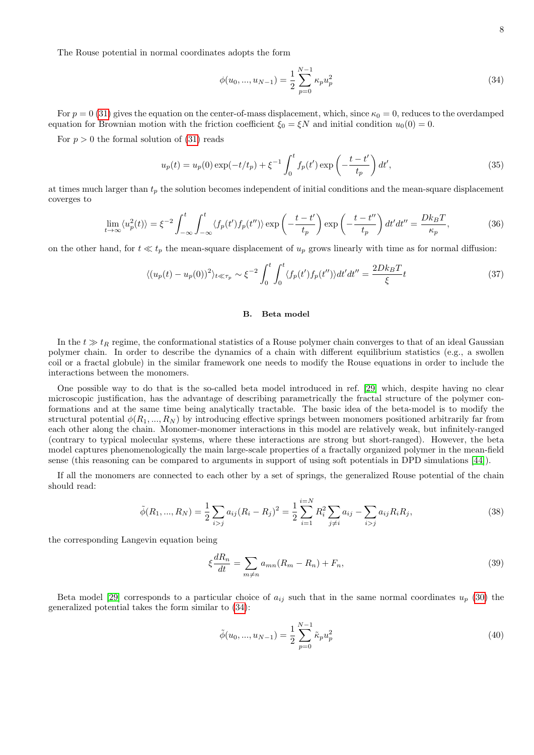The Rouse potential in normal coordinates adopts the form

<span id="page-7-1"></span>
$$
\phi(u_0, ..., u_{N-1}) = \frac{1}{2} \sum_{p=0}^{N-1} \kappa_p u_p^2
$$
\n(34)

For  $p = 0$  [\(31\)](#page-6-0) gives the equation on the center-of-mass displacement, which, since  $\kappa_0 = 0$ , reduces to the overdamped equation for Brownian motion with the friction coefficient  $\xi_0 = \xi N$  and initial condition  $u_0(0) = 0$ .

For  $p > 0$  the formal solution of  $(31)$  reads

$$
u_p(t) = u_p(0) \exp(-t/t_p) + \xi^{-1} \int_0^t f_p(t') \exp\left(-\frac{t-t'}{t_p}\right) dt',\tag{35}
$$

at times much larger than  $t_p$  the solution becomes independent of initial conditions and the mean-square displacement coverges to

$$
\lim_{t \to \infty} \langle u_p^2(t) \rangle = \xi^{-2} \int_{-\infty}^t \int_{-\infty}^t \langle f_p(t') f_p(t'') \rangle \exp\left(-\frac{t - t'}{t_p}\right) \exp\left(-\frac{t - t''}{t_p}\right) dt' dt'' = \frac{Dk_B T}{\kappa_p},\tag{36}
$$

on the other hand, for  $t \ll t_p$  the mean-square displacement of  $u_p$  grows linearly with time as for normal diffusion:

$$
\langle (u_p(t) - u_p(0))^2 \rangle_{t \ll \tau_p} \sim \xi^{-2} \int_0^t \int_0^t \langle f_p(t') f_p(t'') \rangle dt' dt'' = \frac{2Dk_B T}{\xi} t
$$
\n(37)

# B. Beta model

In the  $t \gg t_R$  regime, the conformational statistics of a Rouse polymer chain converges to that of an ideal Gaussian polymer chain. In order to describe the dynamics of a chain with different equilibrium statistics (e.g., a swollen coil or a fractal globule) in the similar framework one needs to modify the Rouse equations in order to include the interactions between the monomers.

One possible way to do that is the so-called beta model introduced in ref. [\[29\]](#page-13-16) which, despite having no clear microscopic justification, has the advantage of describing parametrically the fractal structure of the polymer conformations and at the same time being analytically tractable. The basic idea of the beta-model is to modify the structural potential  $\phi(R_1, ..., R_N)$  by introducing effective springs between monomers positioned arbitrarily far from each other along the chain. Monomer-monomer interactions in this model are relatively weak, but infinitely-ranged (contrary to typical molecular systems, where these interactions are strong but short-ranged). However, the beta model captures phenomenologically the main large-scale properties of a fractally organized polymer in the mean-field sense (this reasoning can be compared to arguments in support of using soft potentials in DPD simulations [\[44\]](#page-13-32)).

If all the monomers are connected to each other by a set of springs, the generalized Rouse potential of the chain should read:

<span id="page-7-2"></span>
$$
\tilde{\phi}(R_1, ..., R_N) = \frac{1}{2} \sum_{i > j} a_{ij} (R_i - R_j)^2 = \frac{1}{2} \sum_{i=1}^{i=N} R_i^2 \sum_{j \neq i} a_{ij} - \sum_{i > j} a_{ij} R_i R_j,
$$
\n(38)

the corresponding Langevin equation being

<span id="page-7-0"></span>
$$
\xi \frac{dR_n}{dt} = \sum_{m \neq n} a_{mn} (R_m - R_n) + F_n,\tag{39}
$$

Beta model [\[29\]](#page-13-16) corresponds to a particular choice of  $a_{ij}$  such that in the same normal coordinates  $u_p$  [\(30\)](#page-6-3) the generalized potential takes the form similar to [\(34\)](#page-7-1):

$$
\tilde{\phi}(u_0, ..., u_{N-1}) = \frac{1}{2} \sum_{p=0}^{N-1} \tilde{\kappa}_p u_p^2
$$
\n(40)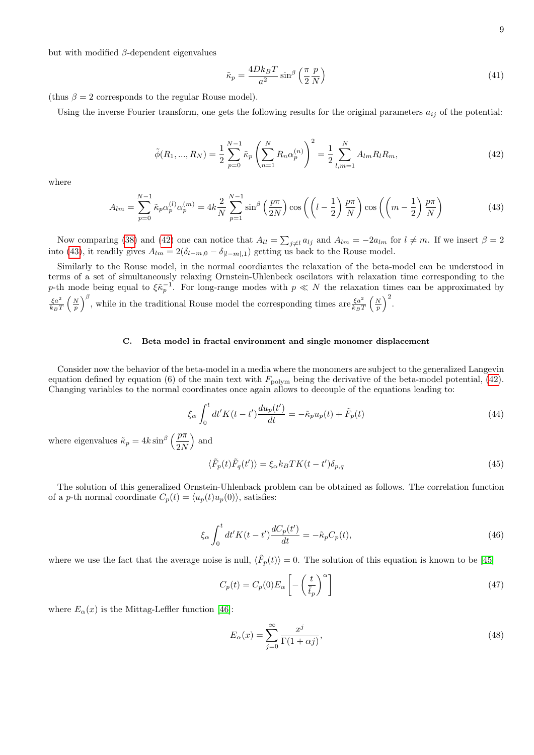but with modified  $β$ -dependent eigenvalues

$$
\tilde{\kappa}_p = \frac{4Dk_BT}{a^2} \sin^{\beta} \left(\frac{\pi}{2} \frac{p}{N}\right)
$$
\n(41)

(thus  $\beta = 2$  corresponds to the regular Rouse model).

Using the inverse Fourier transform, one gets the following results for the original parameters  $a_{ij}$  of the potential:

<span id="page-8-0"></span>
$$
\tilde{\phi}(R_1, ..., R_N) = \frac{1}{2} \sum_{p=0}^{N-1} \tilde{\kappa}_p \left( \sum_{n=1}^N R_n \alpha_p^{(n)} \right)^2 = \frac{1}{2} \sum_{l,m=1}^N A_{lm} R_l R_m, \tag{42}
$$

where

<span id="page-8-1"></span>
$$
A_{lm} = \sum_{p=0}^{N-1} \tilde{\kappa}_p \alpha_p^{(l)} \alpha_p^{(m)} = 4k \frac{2}{N} \sum_{p=1}^{N-1} \sin^{\beta} \left(\frac{p\pi}{2N}\right) \cos\left(\left(l - \frac{1}{2}\right) \frac{p\pi}{N}\right) \cos\left(\left(m - \frac{1}{2}\right) \frac{p\pi}{N}\right)
$$
(43)

Now comparing [\(38\)](#page-7-2) and [\(42\)](#page-8-0) one can notice that  $A_{ll} = \sum_{j\neq l} a_{lj}$  and  $A_{lm} = -2a_{lm}$  for  $l \neq m$ . If we insert  $\beta = 2$ into [\(43\)](#page-8-1), it readily gives  $A_{lm} = 2(\delta_{l-m,0} - \delta_{|l-m|,1})$  getting us back to the Rouse model.

Similarly to the Rouse model, in the normal coordiantes the relaxation of the beta-model can be understood in terms of a set of simultaneously relaxing Ornstein-Uhlenbeck oscilators with relaxation time corresponding to the p-th mode being equal to  $\xi \tilde{\kappa}_p^{-1}$ . For long-range modes with  $p \ll N$  the relaxation times can be approximated by  $\xi a^2$  $\frac{\xi a^2}{k_B T} \left(\frac{N}{p}\right)^{\beta}$ , while in the traditional Rouse model the corresponding times are  $\frac{\xi a^2}{k_B T} \left(\frac{N}{p}\right)^2$ .

## C. Beta model in fractal environment and single monomer displacement

Consider now the behavior of the beta-model in a media where the monomers are subject to the generalized Langevin equation defined by equation (6) of the main text with  $F_{\text{polym}}$  being the derivative of the beta-model potential, [\(42\)](#page-8-0). Changing variables to the normal coordinates once again allows to decouple of the equations leading to:

$$
\xi_{\alpha} \int_0^t dt' K(t - t') \frac{du_p(t')}{dt} = -\tilde{\kappa}_p u_p(t) + \tilde{F}_p(t)
$$
\n(44)

where eigenvalues  $\tilde{\kappa}_p = 4k \sin^{\beta} \left( \frac{p\pi}{2N} \right)$ 2N ) and

$$
\langle \tilde{F}_p(t)\tilde{F}_q(t')\rangle = \xi_\alpha k_B T K(t - t')\delta_{p,q} \tag{45}
$$

The solution of this generalized Ornstein-Uhlenback problem can be obtained as follows. The correlation function of a *p*-th normal coordinate  $C_p(t) = \langle u_p(t)u_p(0) \rangle$ , satisfies:

$$
\xi_{\alpha} \int_0^t dt' K(t - t') \frac{dC_p(t')}{dt} = -\tilde{\kappa}_p C_p(t),\tag{46}
$$

where we use the fact that the average noise is null,  $\langle \tilde{F}_p(t) \rangle = 0$ . The solution of this equation is known to be [\[45\]](#page-13-33)

<span id="page-8-2"></span>
$$
C_p(t) = C_p(0) E_\alpha \left[ -\left(\frac{t}{\tilde{t}_p}\right)^\alpha \right]
$$
\n(47)

where  $E_{\alpha}(x)$  is the Mittag-Leffler function [\[46\]](#page-13-34):

<span id="page-8-3"></span>
$$
E_{\alpha}(x) = \sum_{j=0}^{\infty} \frac{x^j}{\Gamma(1+\alpha j)},\tag{48}
$$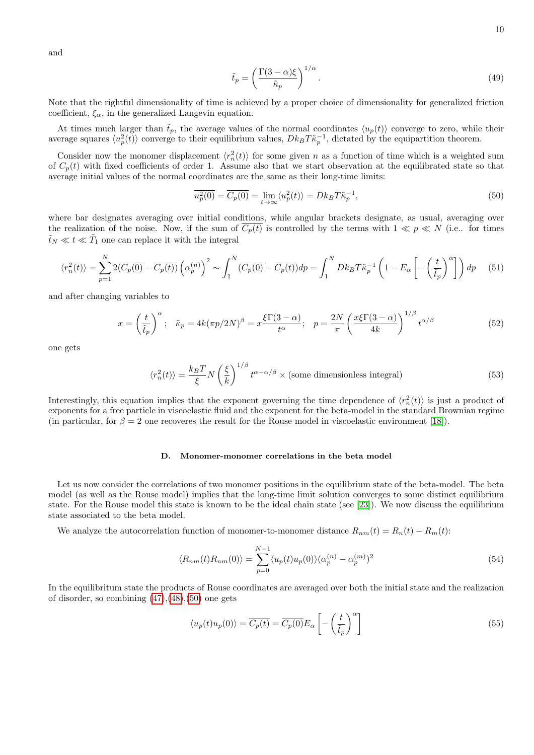and

$$
\tilde{t}_p = \left(\frac{\Gamma(3-\alpha)\xi}{\tilde{\kappa}_p}\right)^{1/\alpha}.\tag{49}
$$

Note that the rightful dimensionality of time is achieved by a proper choice of dimensionality for generalized friction coefficient,  $\xi_{\alpha}$ , in the generalized Langevin equation.

At times much larger than  $\tilde{t}_p$ , the average values of the normal coordinates  $\langle u_p(t) \rangle$  converge to zero, while their average squares  $\langle u_p^2(t) \rangle$  converge to their equilibrium values,  $Dk_B T \tilde{\kappa}_p^{-1}$ , dictated by the equipartition theorem.

Consider now the monomer displacement  $\langle r_n^2(t) \rangle$  for some given n as a function of time which is a weighted sum of  $C_p(t)$  with fixed coefficients of order 1. Assume also that we start observation at the equilibrated state so that average initial values of the normal coordinates are the same as their long-time limits:

<span id="page-9-0"></span>
$$
\overline{u_p^2(0)} = \overline{C_p(0)} = \lim_{t \to \infty} \langle u_p^2(t) \rangle = Dk_B T \tilde{\kappa}_p^{-1},\tag{50}
$$

where bar designates averaging over initial conditions, while angular brackets designate, as usual, averaging over the realization of the noise. Now, if the sum of  $C_p(t)$  is controlled by the terms with  $1 \ll p \ll N$  (i.e.. for times  $\tilde{t}_N \ll t \ll \tilde{T}_1$  one can replace it with the integral

$$
\langle r_n^2(t) \rangle = \sum_{p=1}^N 2(\overline{C_p(0)} - \overline{C_p(t)}) \left( \alpha_p^{(n)} \right)^2 \sim \int_1^N (\overline{C_p(0)} - \overline{C_p(t)}) dp = \int_1^N Dk_B T \tilde{\kappa}_p^{-1} \left( 1 - E_\alpha \left[ -\left( \frac{t}{\tilde{t}_p} \right)^\alpha \right] \right) dp \tag{51}
$$

and after changing variables to

$$
x = \left(\frac{t}{\tilde{t}_p}\right)^{\alpha}; \quad \tilde{\kappa}_p = 4k(\pi p/2N)^{\beta} = x\frac{\xi\Gamma(3-\alpha)}{t^{\alpha}}; \quad p = \frac{2N}{\pi}\left(\frac{x\xi\Gamma(3-\alpha)}{4k}\right)^{1/\beta}t^{\alpha/\beta}
$$
(52)

one gets

$$
\langle r_n^2(t) \rangle = \frac{k_B T}{\xi} N \left(\frac{\xi}{k}\right)^{1/\beta} t^{\alpha - \alpha/\beta} \times \text{(some dimensionless integral)} \tag{53}
$$

Interestingly, this equation implies that the exponent governing the time dependence of  $\langle r_n^2(t) \rangle$  is just a product of exponents for a free particle in viscoelastic fluid and the exponent for the beta-model in the standard Brownian regime (in particular, for  $\beta = 2$  one recoveres the result for the Rouse model in viscoelastic environment [\[18\]](#page-13-8)).

### D. Monomer-monomer correlations in the beta model

Let us now consider the correlations of two monomer positions in the equilibrium state of the beta-model. The beta model (as well as the Rouse model) implies that the long-time limit solution converges to some distinct equilibrium state. For the Rouse model this state is known to be the ideal chain state (see [\[23\]](#page-13-13)). We now discuss the equilibrium state associated to the beta model.

We analyze the autocorrelation function of monomer-to-monomer distance  $R_{nm}(t) = R_m(t) - R_m(t)$ :

$$
\langle R_{nm}(t)R_{nm}(0)\rangle = \sum_{p=0}^{N-1} \langle u_p(t)u_p(0)\rangle (\alpha_p^{(n)} - \alpha_p^{(m)})^2
$$
\n(54)

In the equilibritum state the products of Rouse coordinates are averaged over both the initial state and the realization of disorder, so combining  $(47),(48),(50)$  $(47),(48),(50)$  $(47),(48),(50)$  $(47),(48),(50)$  one gets

$$
\langle u_p(t)u_p(0)\rangle = \overline{C_p(t)} = \overline{C_p(0)}E_\alpha \left[ -\left(\frac{t}{\tilde{t}_p}\right)^\alpha \right]
$$
\n(55)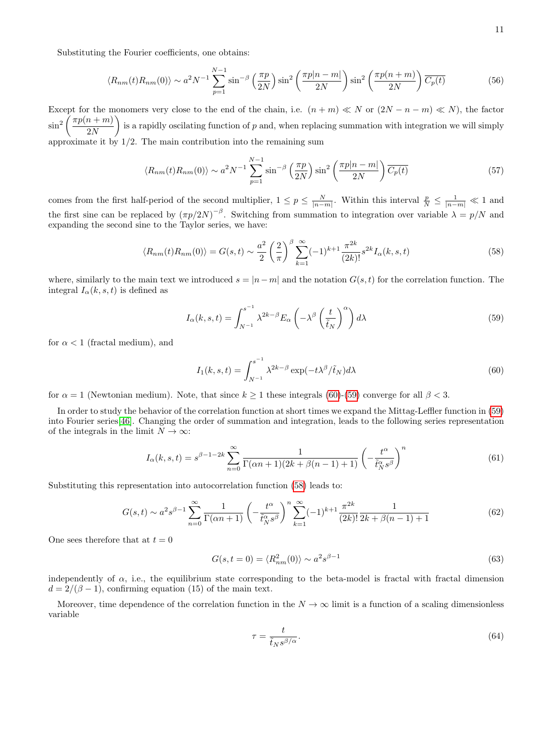Substituting the Fourier coefficients, one obtains:

$$
\langle R_{nm}(t)R_{nm}(0)\rangle \sim a^2 N^{-1} \sum_{p=1}^{N-1} \sin^{-\beta} \left(\frac{\pi p}{2N}\right) \sin^2 \left(\frac{\pi p|n-m|}{2N}\right) \sin^2 \left(\frac{\pi p(n+m)}{2N}\right) \overline{C_p(t)}\tag{56}
$$

Except for the monomers very close to the end of the chain, i.e.  $(n + m) \ll N$  or  $(2N - n - m) \ll N$ ), the factor  $\sin^2\left(\frac{\pi p(n+m)}{2N}\right)$ 2N is a rapidly oscilating function of p and, when replacing summation with integration we will simply approximate it by  $1/2$ . The main contribution into the remaining sum

$$
\langle R_{nm}(t)R_{nm}(0)\rangle \sim a^2 N^{-1} \sum_{p=1}^{N-1} \sin^{-\beta} \left(\frac{\pi p}{2N}\right) \sin^2 \left(\frac{\pi p|n-m|}{2N}\right) \overline{C_p(t)}\tag{57}
$$

comes from the first half-period of the second multiplier,  $1 \le p \le \frac{N}{|n-m|}$ . Within this interval  $\frac{p}{N} \le \frac{1}{|n-m|} \ll 1$  and the first sine can be replaced by  $(\pi p/2N)^{-\beta}$ . Switching from summation to integration over variable  $\lambda = p/N$  and expanding the second sine to the Taylor series, we have:

<span id="page-10-2"></span>
$$
\langle R_{nm}(t)R_{nm}(0)\rangle = G(s,t) \sim \frac{a^2}{2} \left(\frac{2}{\pi}\right)^{\beta} \sum_{k=1}^{\infty} (-1)^{k+1} \frac{\pi^{2k}}{(2k)!} s^{2k} I_{\alpha}(k,s,t) \tag{58}
$$

where, similarly to the main text we introduced  $s = |n-m|$  and the notation  $G(s, t)$  for the correlation function. The integral  $I_{\alpha}(k, s, t)$  is defined as

<span id="page-10-1"></span>
$$
I_{\alpha}(k,s,t) = \int_{N^{-1}}^{s^{-1}} \lambda^{2k-\beta} E_{\alpha} \left( -\lambda^{\beta} \left( \frac{t}{\tilde{t}_N} \right)^{\alpha} \right) d\lambda \tag{59}
$$

for  $\alpha < 1$  (fractal medium), and

<span id="page-10-0"></span>
$$
I_1(k, s, t) = \int_{N^{-1}}^{s^{-1}} \lambda^{2k - \beta} \exp(-t\lambda^{\beta}/\tilde{t}_N) d\lambda
$$
\n(60)

for  $\alpha = 1$  (Newtonian medium). Note, that since  $k \ge 1$  these integrals [\(60\)](#page-10-0)-[\(59\)](#page-10-1) converge for all  $\beta < 3$ .

In order to study the behavior of the correlation function at short times we expand the Mittag-Leffler function in [\(59\)](#page-10-1) into Fourier series[\[46\]](#page-13-34). Changing the order of summation and integration, leads to the following series representation of the integrals in the limit  $N \to \infty$ :

$$
I_{\alpha}(k,s,t) = s^{\beta - 1 - 2k} \sum_{n=0}^{\infty} \frac{1}{\Gamma(\alpha n + 1)(2k + \beta(n-1) + 1)} \left(-\frac{t^{\alpha}}{\tilde{t}_N^{\alpha} s^{\beta}}\right)^n
$$
(61)

Substituting this representation into autocorrelation function [\(58\)](#page-10-2) leads to:

$$
G(s,t) \sim a^2 s^{\beta - 1} \sum_{n=0}^{\infty} \frac{1}{\Gamma(\alpha n + 1)} \left( -\frac{t^{\alpha}}{\tilde{t}_N^{\alpha} s^{\beta}} \right)^n \sum_{k=1}^{\infty} (-1)^{k+1} \frac{\pi^{2k}}{(2k)!} \frac{1}{2k + \beta(n-1) + 1}
$$
(62)

One sees therefore that at  $t = 0$ 

$$
G(s, t = 0) = \langle R_{nm}^2(0) \rangle \sim a^2 s^{\beta - 1}
$$
\n(63)

independently of  $\alpha$ , i.e., the equilibrium state corresponding to the beta-model is fractal with fractal dimension  $d = 2/(\beta - 1)$ , confirming equation (15) of the main text.

Moreover, time dependence of the correlation function in the  $N \to \infty$  limit is a function of a scaling dimensionless variable

$$
\tau = \frac{t}{\tilde{t}_N s^{\beta/\alpha}}.\tag{64}
$$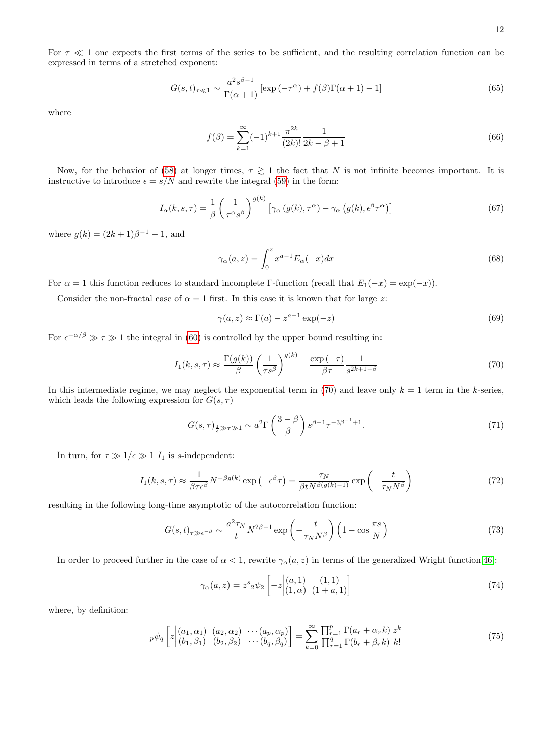For  $\tau \ll 1$  one expects the first terms of the series to be sufficient, and the resulting correlation function can be expressed in terms of a stretched exponent:

$$
G(s,t)_{\tau \ll 1} \sim \frac{a^2 s^{\beta - 1}}{\Gamma(\alpha + 1)} \left[ \exp\left(-\tau^{\alpha}\right) + f(\beta)\Gamma(\alpha + 1) - 1 \right] \tag{65}
$$

where

$$
f(\beta) = \sum_{k=1}^{\infty} (-1)^{k+1} \frac{\pi^{2k}}{(2k)!} \frac{1}{2k - \beta + 1}
$$
 (66)

Now, for the behavior of [\(58\)](#page-10-2) at longer times,  $\tau \gtrsim 1$  the fact that N is not infinite becomes important. It is instructive to introduce  $\epsilon = s/N$  and rewrite the integral [\(59\)](#page-10-1) in the form:

$$
I_{\alpha}(k,s,\tau) = \frac{1}{\beta} \left(\frac{1}{\tau^{\alpha}s^{\beta}}\right)^{g(k)} \left[\gamma_{\alpha}\left(g(k),\tau^{\alpha}\right) - \gamma_{\alpha}\left(g(k),\epsilon^{\beta}\tau^{\alpha}\right)\right]
$$
(67)

where  $g(k) = (2k+1)\beta^{-1} - 1$ , and

$$
\gamma_{\alpha}(a, z) = \int_0^z x^{a-1} E_{\alpha}(-x) dx \tag{68}
$$

For  $\alpha = 1$  this function reduces to standard incomplete Γ-function (recall that  $E_1(-x) = \exp(-x)$ ).

Consider the non-fractal case of  $\alpha = 1$  first. In this case it is known that for large z:

$$
\gamma(a, z) \approx \Gamma(a) - z^{a-1} \exp(-z) \tag{69}
$$

For  $\epsilon^{-\alpha/\beta} \gg \tau \gg 1$  the integral in [\(60\)](#page-10-0) is controlled by the upper bound resulting in:

<span id="page-11-0"></span>
$$
I_1(k, s, \tau) \approx \frac{\Gamma(g(k))}{\beta} \left(\frac{1}{\tau s^{\beta}}\right)^{g(k)} - \frac{\exp\left(-\tau\right)}{\beta \tau} \frac{1}{s^{2k+1-\beta}}
$$
(70)

In this intermediate regime, we may neglect the exponential term in [\(70\)](#page-11-0) and leave only  $k = 1$  term in the k-series, which leads the following expression for  $G(s, \tau)$ 

$$
G(s,\tau)_{\frac{1}{\epsilon}\gg\tau\gg1}\sim a^2\Gamma\left(\frac{3-\beta}{\beta}\right)s^{\beta-1}\tau^{-3\beta-1}+1.
$$
\n(71)

In turn, for  $\tau \gg 1/\epsilon \gg 1$  I<sub>1</sub> is s-independent:

$$
I_1(k, s, \tau) \approx \frac{1}{\beta \tau \epsilon^{\beta}} N^{-\beta g(k)} \exp\left(-\epsilon^{\beta} \tau\right) = \frac{\tau_N}{\beta t N^{\beta(g(k)-1)}} \exp\left(-\frac{t}{\tau_N N^{\beta}}\right)
$$
(72)

resulting in the following long-time asymptotic of the autocorrelation function:

$$
G(s,t)_{\tau \gg \epsilon^{-\beta}} \sim \frac{a^2 \tau_N}{t} N^{2\beta - 1} \exp\left(-\frac{t}{\tau_N N^{\beta}}\right) \left(1 - \cos \frac{\pi s}{N}\right) \tag{73}
$$

In order to proceed further in the case of  $\alpha < 1$ , rewrite  $\gamma_{\alpha}(a, z)$  in terms of the generalized Wright function[\[46\]](#page-13-34):

$$
\gamma_{\alpha}(a, z) = z^{s} 2 \psi_2 \left[ -z \begin{vmatrix} (a, 1) & (1, 1) \\ (1, \alpha) & (1 + a, 1) \end{vmatrix} \right]
$$
(74)

where, by definition:

$$
{}_{p}\psi_{q}\left[z\Big|^{(a_{1}, \alpha_{1})}_{(b_{1}, \beta_{1})} \left( a_{2}, a_{2} \right) \cdots \left( a_{p}, a_{p} \right) \right] = \sum_{k=0}^{\infty} \frac{\prod_{r=1}^{p} \Gamma(a_{r} + \alpha_{r} k)}{\prod_{r=1}^{q} \Gamma(b_{r} + \beta_{r} k)} \frac{z^{k}}{k!}
$$
(75)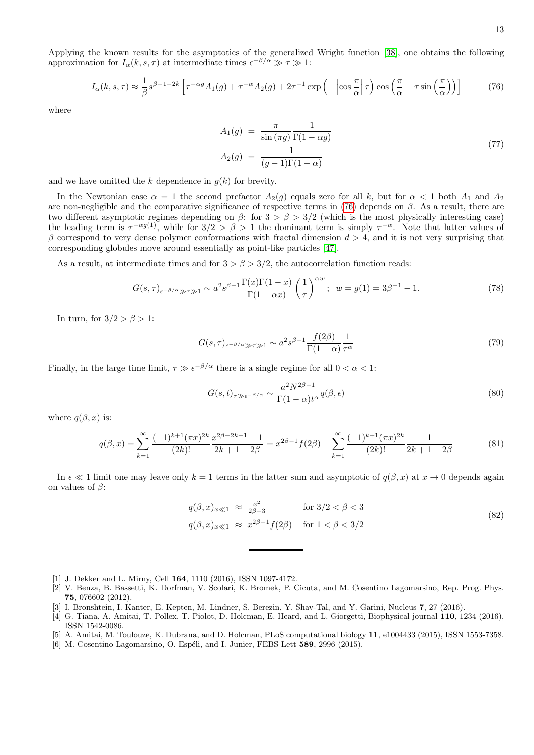Applying the known results for the asymptotics of the generalized Wright function [\[38\]](#page-13-26), one obtains the following approximation for  $I_{\alpha}(k, s, \tau)$  at intermediate times  $\epsilon^{-\beta/\alpha} \gg \tau \gg 1$ :

<span id="page-12-3"></span>
$$
I_{\alpha}(k,s,\tau) \approx \frac{1}{\beta} s^{\beta - 1 - 2k} \left[ \tau^{-\alpha g} A_1(g) + \tau^{-\alpha} A_2(g) + 2\tau^{-1} \exp\left(-\left|\cos\frac{\pi}{\alpha}\right|\tau\right) \cos\left(\frac{\pi}{\alpha} - \tau\sin\left(\frac{\pi}{\alpha}\right)\right) \right]
$$
(76)

where

$$
A_1(g) = \frac{\pi}{\sin(\pi g)} \frac{1}{\Gamma(1 - \alpha g)}
$$
  
\n
$$
A_2(g) = \frac{1}{(g - 1)\Gamma(1 - \alpha)}
$$
\n(77)

and we have omitted the k dependence in  $g(k)$  for brevity.

In the Newtonian case  $\alpha = 1$  the second prefactor  $A_2(g)$  equals zero for all k, but for  $\alpha < 1$  both  $A_1$  and  $A_2$ are non-negligible and the comparative significance of respective terms in [\(76\)](#page-12-3) depends on  $\beta$ . As a result, there are two different asymptotic regimes depending on  $\beta$ : for  $3 > \beta > 3/2$  (which is the most physically interesting case) the leading term is  $\tau^{-\alpha g(1)}$ , while for  $3/2 > \beta > 1$  the dominant term is simply  $\tau^{-\alpha}$ . Note that latter values of β correspond to very dense polymer conformations with fractal dimension  $d > 4$ , and it is not very surprising that corresponding globules move around essentially as point-like particles [\[47\]](#page-13-35).

As a result, at intermediate times and for  $3 > \beta > 3/2$ , the autocorrelation function reads:

$$
G(s,\tau)_{\epsilon^{-\beta/\alpha}\gg\tau\gg1} \sim a^2 s^{\beta-1} \frac{\Gamma(x)\Gamma(1-x)}{\Gamma(1-\alpha x)} \left(\frac{1}{\tau}\right)^{\alpha w}; \ \ w = g(1) = 3\beta^{-1} - 1. \tag{78}
$$

In turn, for  $3/2 > \beta > 1$ :

$$
G(s,\tau)_{\epsilon^{-\beta/\alpha}\gg\tau\gg1} \sim a^2 s^{\beta-1} \frac{f(2\beta)}{\Gamma(1-\alpha)} \frac{1}{\tau^{\alpha}}
$$
\n
$$
(79)
$$

Finally, in the large time limit,  $\tau \gg \epsilon^{-\beta/\alpha}$  there is a single regime for all  $0 < \alpha < 1$ :

$$
G(s,t)_{\tau \gg \epsilon^{-\beta/\alpha}} \sim \frac{a^2 N^{2\beta - 1}}{\Gamma(1 - \alpha)t^{\alpha}} q(\beta, \epsilon)
$$
\n(80)

where  $q(\beta, x)$  is:

$$
q(\beta, x) = \sum_{k=1}^{\infty} \frac{(-1)^{k+1} (\pi x)^{2k}}{(2k)!} \frac{x^{2\beta - 2k - 1} - 1}{2k + 1 - 2\beta} = x^{2\beta - 1} f(2\beta) - \sum_{k=1}^{\infty} \frac{(-1)^{k+1} (\pi x)^{2k}}{(2k)!} \frac{1}{2k + 1 - 2\beta}
$$
(81)

In  $\epsilon \ll 1$  limit one may leave only  $k = 1$  terms in the latter sum and asymptotic of  $q(\beta, x)$  at  $x \to 0$  depends again on values of  $\beta$ :

$$
q(\beta, x)_{x \ll 1} \approx \frac{x^2}{2\beta - 3} \quad \text{for } 3/2 < \beta < 3
$$
  
 
$$
q(\beta, x)_{x \ll 1} \approx x^{2\beta - 1} f(2\beta) \quad \text{for } 1 < \beta < 3/2
$$
 (82)

- <span id="page-12-0"></span>[1] J. Dekker and L. Mirny, Cell 164, 1110 (2016), ISSN 1097-4172.
- <span id="page-12-1"></span>[2] V. Benza, B. Bassetti, K. Dorfman, V. Scolari, K. Bromek, P. Cicuta, and M. Cosentino Lagomarsino, Rep. Prog. Phys. 75, 076602 (2012).
- <span id="page-12-2"></span>[3] I. Bronshtein, I. Kanter, E. Kepten, M. Lindner, S. Berezin, Y. Shav-Tal, and Y. Garini, Nucleus 7, 27 (2016).
- [4] G. Tiana, A. Amitai, T. Pollex, T. Piolot, D. Holcman, E. Heard, and L. Giorgetti, Biophysical journal 110, 1234 (2016), ISSN 1542-0086.
- [5] A. Amitai, M. Toulouze, K. Dubrana, and D. Holcman, PLoS computational biology 11, e1004433 (2015), ISSN 1553-7358.
- [6] M. Cosentino Lagomarsino, O. Espéli, and I. Junier, FEBS Lett 589, 2996 (2015).